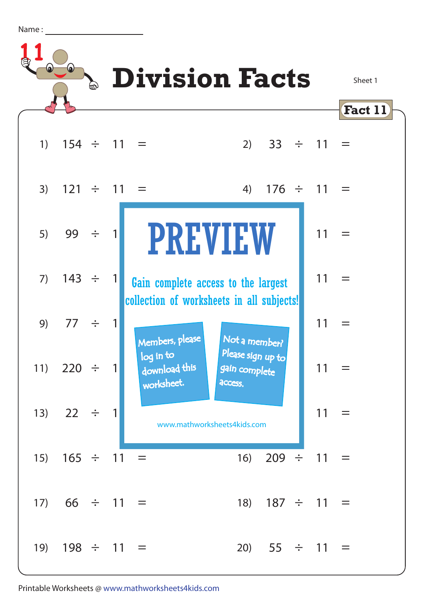Name :